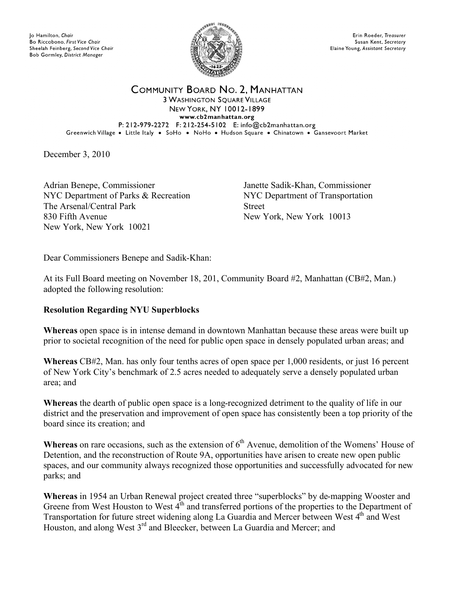Jo Hamilton, Chair Bo Riccobono, First Vice Chair Sheelah Feinberg, Second Vice Chair Bob Gormley, District Manager



Erin Roeder, Treasurer Susan Kent, Secretary Elaine Young, Assistant Secretary

COMMUNITY BOARD NO. 2, MANHATTAN **3 WASHINGTON SQUARE VILLAGE NEW YORK, NY 10012-1899** www.cb2manhattan.org P: 212-979-2272 F: 212-254-5102 E: info@cb2manhattan.org Greenwich Village . Little Italy . SoHo . NoHo . Hudson Square . Chinatown . Gansevoort Market

December 3, 2010

Adrian Benepe, Commissioner NYC Department of Parks & Recreation The Arsenal/Central Park 830 Fifth Avenue New York, New York 10021

Janette Sadik-Khan, Commissioner NYC Department of Transportation Street New York, New York 10013

Dear Commissioners Benepe and Sadik-Khan:

At its Full Board meeting on November 18, 201, Community Board #2, Manhattan (CB#2, Man.) adopted the following resolution:

## **Resolution Regarding NYU Superblocks**

**Whereas** open space is in intense demand in downtown Manhattan because these areas were built up prior to societal recognition of the need for public open space in densely populated urban areas; and

**Whereas** CB#2, Man. has only four tenths acres of open space per 1,000 residents, or just 16 percent of New York City's benchmark of 2.5 acres needed to adequately serve a densely populated urban area; and

**Whereas** the dearth of public open space is a long-recognized detriment to the quality of life in our district and the preservation and improvement of open space has consistently been a top priority of the board since its creation; and

Whereas on rare occasions, such as the extension of 6<sup>th</sup> Avenue, demolition of the Womens' House of Detention, and the reconstruction of Route 9A, opportunities have arisen to create new open public spaces, and our community always recognized those opportunities and successfully advocated for new parks; and

**Whereas** in 1954 an Urban Renewal project created three "superblocks" by de-mapping Wooster and Greene from West Houston to West  $4<sup>th</sup>$  and transferred portions of the properties to the Department of Transportation for future street widening along La Guardia and Mercer between West  $4<sup>th</sup>$  and West Houston, and along West 3<sup>rd</sup> and Bleecker, between La Guardia and Mercer; and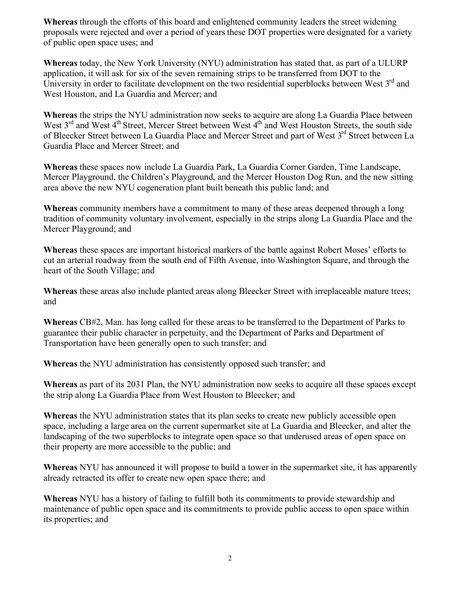**Whereas** through the efforts of this board and enlightened community leaders the street widening proposals were rejected and over a period of years these DOT properties were designated for a variety of public open space uses; and

**Whereas** today, the New York University (NYU) administration has stated that, as part of a ULURP application, it will ask for six of the seven remaining strips to be transferred from DOT to the University in order to facilitate development on the two residential superblocks between West 3<sup>rd</sup> and West Houston, and La Guardia and Mercer; and

**Whereas** the strips the NYU administration now seeks to acquire are along La Guardia Place between West 3<sup>rd</sup> and West 4<sup>th</sup> Street, Mercer Street between West 4<sup>th</sup> and West Houston Streets, the south side of Bleecker Street between La Guardia Place and Mercer Street and part of West 3<sup>rd</sup> Street between La Guardia Place and Mercer Street; and

**Whereas** these spaces now include La Guardia Park, La Guardia Corner Garden, Time Landscape, Mercer Playground, the Children's Playground, and the Mercer Houston Dog Run, and the new sitting area above the new NYU cogeneration plant built beneath this public land; and

**Whereas** community members have a commitment to many of these areas deepened through a long tradition of community voluntary involvement, especially in the strips along La Guardia Place and the Mercer Playground; and

**Whereas** these spaces are important historical markers of the battle against Robert Moses' efforts to cut an arterial roadway from the south end of Fifth Avenue, into Washington Square, and through the heart of the South Village; and

**Whereas** these areas also include planted areas along Bleecker Street with irreplaceable mature trees; and

**Whereas** CB#2, Man. has long called for these areas to be transferred to the Department of Parks to guarantee their public character in perpetuity, and the Department of Parks and Department of Transportation have been generally open to such transfer; and

**Whereas** the NYU administration has consistently opposed such transfer; and

**Whereas** as part of its 2031 Plan, the NYU administration now seeks to acquire all these spaces except the strip along La Guardia Place from West Houston to Bleecker; and

**Whereas** the NYU administration states that its plan seeks to create new publicly accessible open space, including a large area on the current supermarket site at La Guardia and Bleecker, and alter the landscaping of the two superblocks to integrate open space so that underused areas of open space on their property are more accessible to the public; and

**Whereas** NYU has announced it will propose to build a tower in the supermarket site, it has apparently already retracted its offer to create new open space there; and

**Whereas** NYU has a history of failing to fulfill both its commitments to provide stewardship and maintenance of public open space and its commitments to provide public access to open space within its properties; and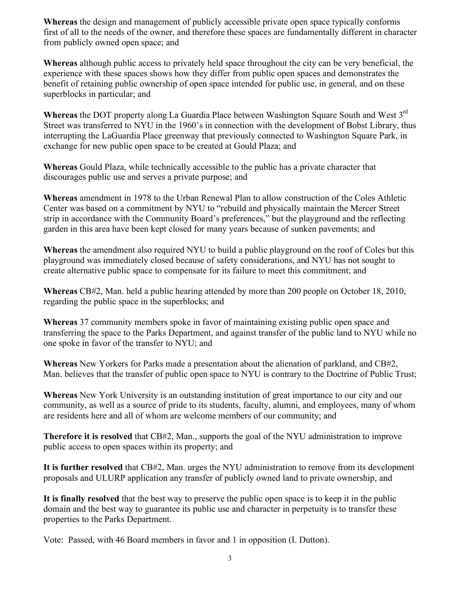**Whereas** the design and management of publicly accessible private open space typically conforms first of all to the needs of the owner, and therefore these spaces are fundamentally different in character from publicly owned open space; and

**Whereas** although public access to privately held space throughout the city can be very beneficial, the experience with these spaces shows how they differ from public open spaces and demonstrates the benefit of retaining public ownership of open space intended for public use, in general, and on these superblocks in particular; and

**Whereas** the DOT property along La Guardia Place between Washington Square South and West 3rd Street was transferred to NYU in the 1960's in connection with the development of Bobst Library, thus interrupting the LaGuardia Place greenway that previously connected to Washington Square Park, in exchange for new public open space to be created at Gould Plaza; and

**Whereas** Gould Plaza, while technically accessible to the public has a private character that discourages public use and serves a private purpose; and

**Whereas** amendment in 1978 to the Urban Renewal Plan to allow construction of the Coles Athletic Center was based on a commitment by NYU to "rebuild and physically maintain the Mercer Street strip in accordance with the Community Board's preferences," but the playground and the reflecting garden in this area have been kept closed for many years because of sunken pavements; and

**Whereas** the amendment also required NYU to build a public playground on the roof of Coles but this playground was immediately closed because of safety considerations, and NYU has not sought to create alternative public space to compensate for its failure to meet this commitment; and

**Whereas** CB#2, Man. held a public hearing attended by more than 200 people on October 18, 2010, regarding the public space in the superblocks; and

**Whereas** 37 community members spoke in favor of maintaining existing public open space and transferring the space to the Parks Department, and against transfer of the public land to NYU while no one spoke in favor of the transfer to NYU; and

**Whereas** New Yorkers for Parks made a presentation about the alienation of parkland, and CB#2, Man. believes that the transfer of public open space to NYU is contrary to the Doctrine of Public Trust;

**Whereas** New York University is an outstanding institution of great importance to our city and our community, as well as a source of pride to its students, faculty, alumni, and employees, many of whom are residents here and all of whom are welcome members of our community; and

**Therefore it is resolved** that CB#2, Man., supports the goal of the NYU administration to improve public access to open spaces within its property; and

**It is further resolved** that CB#2, Man. urges the NYU administration to remove from its development proposals and ULURP application any transfer of publicly owned land to private ownership, and

**It is finally resolved** that the best way to preserve the public open space is to keep it in the public domain and the best way to guarantee its public use and character in perpetuity is to transfer these properties to the Parks Department.

Vote: Passed, with 46 Board members in favor and 1 in opposition (I. Dutton).